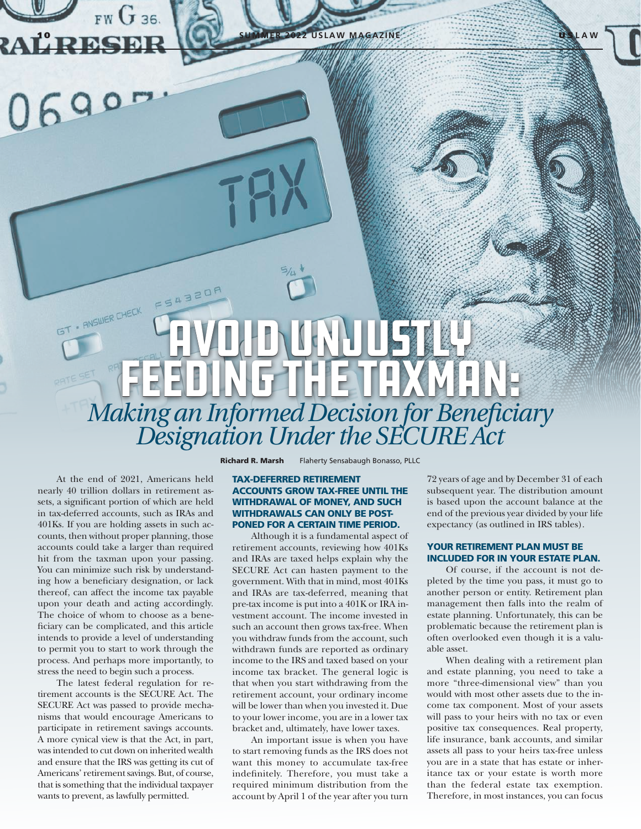**2022 USLAW MAGAZINE** 

# FS4320F - ANSWER CHECK Avoid Unjustly FEEDING THE TAXMAN: *Making an Informed Decision for Beneficiary Designation Under the SECURE Act*

At the end of 2021, Americans held nearly 40 trillion dollars in retirement assets, a significant portion of which are held in tax-deferred accounts, such as IRAs and 401Ks. If you are holding assets in such accounts, then without proper planning, those accounts could take a larger than required hit from the taxman upon your passing. You can minimize such risk by understanding how a beneficiary designation, or lack thereof, can affect the income tax payable upon your death and acting accordingly. The choice of whom to choose as a beneficiary can be complicated, and this article intends to provide a level of understanding to permit you to start to work through the process. And perhaps more importantly, to stress the need to begin such a process.

 $FWG$  36.

The latest federal regulation for retirement accounts is the SECURE Act. The SECURE Act was passed to provide mechanisms that would encourage Americans to participate in retirement savings accounts. A more cynical view is that the Act, in part, was intended to cut down on inherited wealth and ensure that the IRS was getting its cut of Americans' retirement savings. But, of course, that is something that the individual taxpayer wants to prevent, as lawfully permitted.

Richard R. Marsh Flaherty Sensabaugh Bonasso, PLLC

## TAX-DEFERRED RETIREMENT ACCOUNTS GROW TAX-FREE UNTIL THE WITHDRAWAL OF MONEY, AND SUCH WITHDRAWALS CAN ONLY BE POST-PONED FOR A CERTAIN TIME PERIOD.

Although it is a fundamental aspect of retirement accounts, reviewing how 401Ks and IRAs are taxed helps explain why the SECURE Act can hasten payment to the government. With that in mind, most 401Ks and IRAs are tax-deferred, meaning that pre-tax income is put into a 401K or IRA investment account. The income invested in such an account then grows tax-free. When you withdraw funds from the account, such withdrawn funds are reported as ordinary income to the IRS and taxed based on your income tax bracket. The general logic is that when you start withdrawing from the retirement account, your ordinary income will be lower than when you invested it. Due to your lower income, you are in a lower tax bracket and, ultimately, have lower taxes.

An important issue is when you have to start removing funds as the IRS does not want this money to accumulate tax-free indefinitely. Therefore, you must take a required minimum distribution from the account by April 1 of the year after you turn

72 years of age and by December 31 of each subsequent year. The distribution amount is based upon the account balance at the end of the previous year divided by your life expectancy (as outlined in IRS tables).

# YOUR RETIREMENT PLAN MUST BE INCLUDED FOR IN YOUR ESTATE PLAN.

Of course, if the account is not depleted by the time you pass, it must go to another person or entity. Retirement plan management then falls into the realm of estate planning. Unfortunately, this can be problematic because the retirement plan is often overlooked even though it is a valuable asset.

When dealing with a retirement plan and estate planning, you need to take a more "three-dimensional view" than you would with most other assets due to the income tax component. Most of your assets will pass to your heirs with no tax or even positive tax consequences. Real property, life insurance, bank accounts, and similar assets all pass to your heirs tax-free unless you are in a state that has estate or inheritance tax or your estate is worth more than the federal estate tax exemption. Therefore, in most instances, you can focus